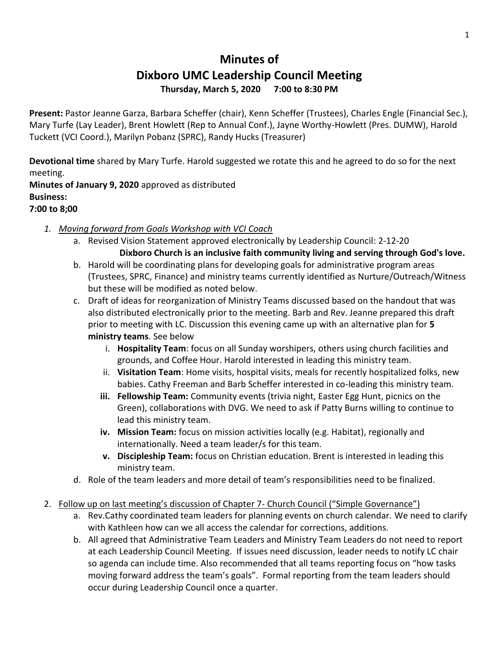## **Minutes of Dixboro UMC Leadership Council Meeting Thursday, March 5, 2020 7:00 to 8:30 PM**

**Present:** Pastor Jeanne Garza, Barbara Scheffer (chair), Kenn Scheffer (Trustees), Charles Engle (Financial Sec.), Mary Turfe (Lay Leader), Brent Howlett (Rep to Annual Conf.), Jayne Worthy-Howlett (Pres. DUMW), Harold Tuckett (VCI Coord.), Marilyn Pobanz (SPRC), Randy Hucks (Treasurer)

**Devotional time** shared by Mary Turfe. Harold suggested we rotate this and he agreed to do so for the next meeting.

**Minutes of January 9, 2020** approved as distributed **Business: 7:00 to 8;00**

- *1. Moving forward from Goals Workshop with VCI Coach* 
	- a. Revised Vision Statement approved electronically by Leadership Council: 2-12-20 **Dixboro Church is an inclusive faith community living and serving through God's love.**
	- b. Harold will be coordinating plans for developing goals for administrative program areas (Trustees, SPRC, Finance) and ministry teams currently identified as Nurture/Outreach/Witness but these will be modified as noted below.
	- c. Draft of ideas for reorganization of Ministry Teams discussed based on the handout that was also distributed electronically prior to the meeting. Barb and Rev. Jeanne prepared this draft prior to meeting with LC. Discussion this evening came up with an alternative plan for **5 ministry teams**. See below
		- i. **Hospitality Team**: focus on all Sunday worshipers, others using church facilities and grounds, and Coffee Hour. Harold interested in leading this ministry team.
		- ii. **Visitation Team**: Home visits, hospital visits, meals for recently hospitalized folks, new babies. Cathy Freeman and Barb Scheffer interested in co-leading this ministry team.
		- **iii. Fellowship Team:** Community events (trivia night, Easter Egg Hunt, picnics on the Green), collaborations with DVG. We need to ask if Patty Burns willing to continue to lead this ministry team.
		- **iv. Mission Team:** focus on mission activities locally (e.g. Habitat), regionally and internationally. Need a team leader/s for this team.
		- **v. Discipleship Team:** focus on Christian education. Brent is interested in leading this ministry team.
	- d. Role of the team leaders and more detail of team's responsibilities need to be finalized.

## 2. Follow up on last meeting's discussion of Chapter 7- Church Council ("Simple Governance")

- a. Rev.Cathy coordinated team leaders for planning events on church calendar. We need to clarify with Kathleen how can we all access the calendar for corrections, additions.
- b. All agreed that Administrative Team Leaders and Ministry Team Leaders do not need to report at each Leadership Council Meeting. If issues need discussion, leader needs to notify LC chair so agenda can include time. Also recommended that all teams reporting focus on "how tasks moving forward address the team's goals". Formal reporting from the team leaders should occur during Leadership Council once a quarter.